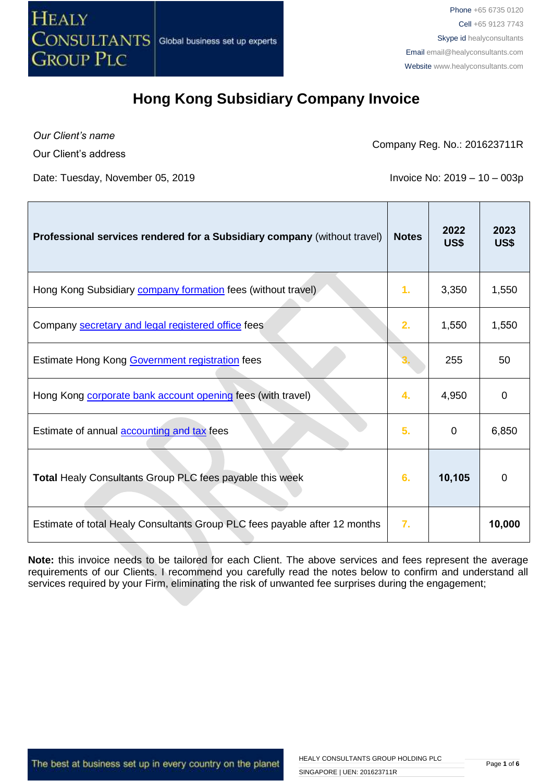

*Our Client's name*

Our Client's address

Company Reg. No.: 201623711R

Date: Tuesday, November 05, 2019 **Invoice No: 2019 - 10 - 003p** 

| Professional services rendered for a Subsidiary company (without travel)   | <b>Notes</b> | 2022<br>US\$ | 2023<br>US\$ |
|----------------------------------------------------------------------------|--------------|--------------|--------------|
| Hong Kong Subsidiary <b>company formation</b> fees (without travel)        | 1.           | 3,350        | 1,550        |
| Company secretary and legal registered office fees                         | 2.           | 1,550        | 1,550        |
| Estimate Hong Kong Government registration fees                            |              | 255          | 50           |
| Hong Kong <b>corporate bank account opening</b> fees (with travel)         | 4.           | 4,950        | $\mathbf 0$  |
| Estimate of annual <b>accounting and tax</b> fees                          | 5.           | $\mathbf 0$  | 6,850        |
| Total Healy Consultants Group PLC fees payable this week                   | 6.           | 10,105       | 0            |
| Estimate of total Healy Consultants Group PLC fees payable after 12 months | 7.           |              | 10,000       |

**Note:** this invoice needs to be tailored for each Client. The above services and fees represent the average requirements of our Clients. I recommend you carefully read the notes below to confirm and understand all services required by your Firm, eliminating the risk of unwanted fee surprises during the engagement;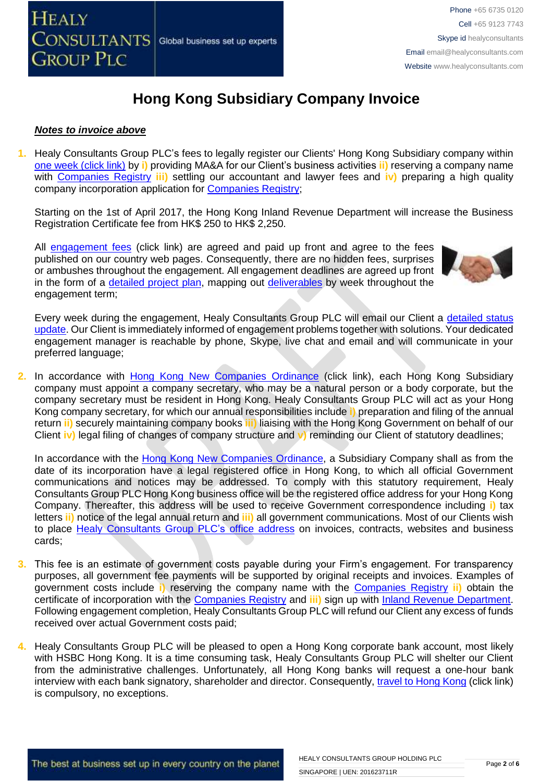

#### *Notes to invoice above*

**1.** Healy Consultants Group PLC's fees to legally register our Clients' Hong Kong Subsidiary company within [one week \(click link\)](http://www.healyconsultants.com/hong-kong-company-registration/incorporation-steps/) by **i)** providing MA&A for our Client's business activities **ii)** reserving a company name with [Companies Registry](http://www.cr.gov.hk/en/public/services.htm) **iii)** settling our accountant and lawyer fees and **iv)** preparing a high quality company incorporation application for [Companies Registry;](http://www.cr.gov.hk/en/public/services.htm)

Starting on the 1st of April 2017, the Hong Kong Inland Revenue Department will increase the Business Registration Certificate fee from HK\$ 250 to HK\$ 2,250.

All [engagement fees](http://www.healyconsultants.com/company-registration-fees/) (click link) are agreed and paid up front and agree to the fees published on our country web pages. Consequently, there are no hidden fees, surprises or ambushes throughout the engagement. All engagement deadlines are agreed up front in the form of a [detailed project plan,](http://www.healyconsultants.com/index-important-links/example-project-plan/) mapping out [deliverables](http://www.healyconsultants.com/deliverables-to-our-clients/) by week throughout the engagement term;



Every week during the engagement, Healy Consultants Group PLC will email our Client a detailed status [update.](http://www.healyconsultants.com/index-important-links/weekly-engagement-status-email/) Our Client is immediately informed of engagement problems together with solutions. Your dedicated engagement manager is reachable by phone, Skype, live chat and email and will communicate in your preferred language;

**2.** In accordance with [Hong Kong New Companies Ordinance](http://www.cr.gov.hk/en/companies_ordinance/docs/NewCO_C622_HL_FullVersion-e.pdf) (click link), each Hong Kong Subsidiary company must appoint a company secretary, who may be a natural person or a body corporate, but the company secretary must be resident in Hong Kong. Healy Consultants Group PLC will act as your Hong Kong company secretary, for which our annual responsibilities include **i)** preparation and filing of the annual return **ii)** securely maintaining company books **iii)** liaising with the Hong Kong Government on behalf of our Client **iv)** legal filing of changes of company structure and **v)** reminding our Client of statutory deadlines;

In accordance with the [Hong Kong New Companies Ordinance,](http://www.cr.gov.hk/en/companies_ordinance/docs/NewCO_C622_HL_FullVersion-e.pdf) a Subsidiary Company shall as from the date of its incorporation have a legal registered office in Hong Kong, to which all official Government communications and notices may be addressed. To comply with this statutory requirement, Healy Consultants Group PLC Hong Kong business office will be the registered office address for your Hong Kong Company. Thereafter, this address will be used to receive Government correspondence including **i)** tax letters **ii)** notice of the legal annual return and **iii)** all government communications. Most of our Clients wish to place [Healy Consultants Group PLC's](http://www.healyconsultants.com/corporate-outsourcing-services/company-secretary-and-legal-registered-office/) office address on invoices, contracts, websites and business cards;

- **3.** This fee is an estimate of government costs payable during your Firm's engagement. For transparency purposes, all government fee payments will be supported by original receipts and invoices. Examples of government costs include **i)** reserving the company name with the [Companies Registry](http://www.cr.gov.hk/en/public/services.htm) **ii)** obtain the certificate of incorporation with the [Companies Registry](http://www.cr.gov.hk/en/public/services.htm) and **iii)** sign up with [Inland Revenue Department.](http://www.ird.gov.hk/eng/welcome.htm) Following engagement completion, Healy Consultants Group PLC will refund our Client any excess of funds received over actual Government costs paid;
- **4.** Healy Consultants Group PLC will be pleased to open a Hong Kong corporate bank account, most likely with HSBC Hong Kong. It is a time consuming task, Healy Consultants Group PLC will shelter our Client from the administrative challenges. Unfortunately, all Hong Kong banks will request a one-hour bank interview with each bank signatory, shareholder and director. Consequently, [travel to Hong Kong](http://www.healyconsultants.com/hong-kong-company-registration/concierge-services/) (click link) is compulsory, no exceptions.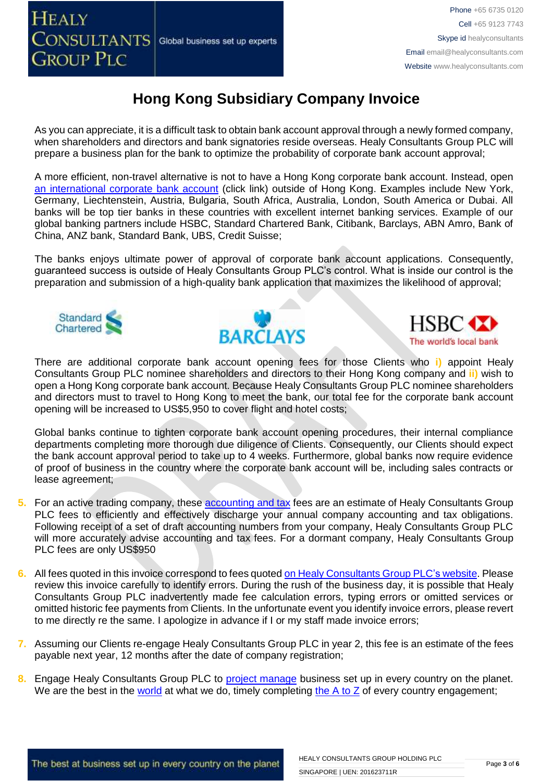

As you can appreciate, it is a difficult task to obtain bank account approval through a newly formed company, when shareholders and directors and bank signatories reside overseas. Healy Consultants Group PLC will prepare a business plan for the bank to optimize the probability of corporate bank account approval;

A more efficient, non-travel alternative is not to have a Hong Kong corporate bank account. Instead, open [an international corporate bank account](http://www.healyconsultants.com/international-banking/) (click link) outside of Hong Kong. Examples include New York, Germany, Liechtenstein, Austria, Bulgaria, South Africa, Australia, London, South America or Dubai. All banks will be top tier banks in these countries with excellent internet banking services. Example of our global banking partners include HSBC, Standard Chartered Bank, Citibank, Barclays, ABN Amro, Bank of China, ANZ bank, Standard Bank, UBS, Credit Suisse;

The banks enjoys ultimate power of approval of corporate bank account applications. Consequently, guaranteed success is outside of Healy Consultants Group PLC's control. What is inside our control is the preparation and submission of a high-quality bank application that maximizes the likelihood of approval;







There are additional corporate bank account opening fees for those Clients who **i)** appoint Healy Consultants Group PLC nominee shareholders and directors to their Hong Kong company and **ii)** wish to open a Hong Kong corporate bank account. Because Healy Consultants Group PLC nominee shareholders and directors must to travel to Hong Kong to meet the bank, our total fee for the corporate bank account opening will be increased to US\$5,950 to cover flight and hotel costs;

Global banks continue to tighten corporate bank account opening procedures, their internal compliance departments completing more thorough due diligence of Clients. Consequently, our Clients should expect the bank account approval period to take up to 4 weeks. Furthermore, global banks now require evidence of proof of business in the country where the corporate bank account will be, including sales contracts or lease agreement;

- **5.** For an active trading company, these [accounting](http://www.healyconsultants.com/hong-kong-company-registration/accounting-legal/) and tax fees are an estimate of Healy Consultants Group PLC fees to efficiently and effectively discharge your annual company accounting and tax obligations. Following receipt of a set of draft accounting numbers from your company, Healy Consultants Group PLC will more accurately advise accounting and tax fees. For a dormant company, Healy Consultants Group PLC fees are only US\$950
- **6.** All fees quoted in this invoice correspond to fees quoted [on Healy Consultants Group PLC's website.](http://www.healyconsultants.com/company-registration-fees/) Please review this invoice carefully to identify errors. During the rush of the business day, it is possible that Healy Consultants Group PLC inadvertently made fee calculation errors, typing errors or omitted services or omitted historic fee payments from Clients. In the unfortunate event you identify invoice errors, please revert to me directly re the same. I apologize in advance if I or my staff made invoice errors;
- **7.** Assuming our Clients re-engage Healy Consultants Group PLC in year 2, this fee is an estimate of the fees payable next year, 12 months after the date of company registration;
- **8.** Engage Healy Consultants Group PLC to [project manage](http://www.healyconsultants.com/project-manage-engagements/) business set up in every country on the planet. We are the best in the [world](http://www.healyconsultants.com/best-in-the-world/) at what we do, timely completing the [A to Z](http://www.healyconsultants.com/a-to-z-of-business-set-up/) of every country engagement;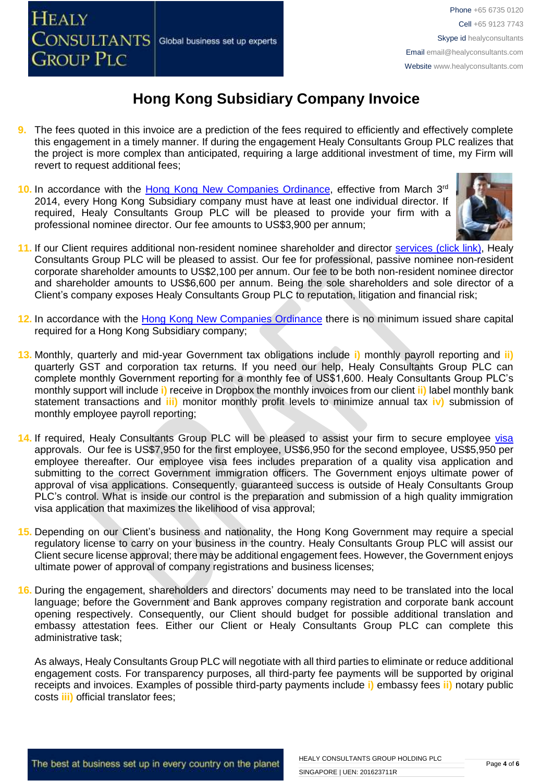**CONSULTANTS** Global business set up experts **GROUP PLC** 

**HEALY** 

### **Hong Kong Subsidiary Company Invoice**

- **9.** The fees quoted in this invoice are a prediction of the fees required to efficiently and effectively complete this engagement in a timely manner. If during the engagement Healy Consultants Group PLC realizes that the project is more complex than anticipated, requiring a large additional investment of time, my Firm will revert to request additional fees;
- 10. In accordance with the [Hong Kong New Companies Ordinance,](http://www.cr.gov.hk/en/companies_ordinance/docs/NewCO_C622_HL_FullVersion-e.pdf) effective from March 3<sup>rd</sup> 2014, every Hong Kong Subsidiary company must have at least one individual director. If required, Healy Consultants Group PLC will be pleased to provide your firm with a professional nominee director. Our fee amounts to US\$3,900 per annum;



- 11. If our Client requires additional non-resident nominee shareholder and director services [\(click link\),](http://www.healyconsultants.com/corporate-outsourcing-services/nominee-shareholders-directors/) Healy Consultants Group PLC will be pleased to assist. Our fee for professional, passive nominee non-resident corporate shareholder amounts to US\$2,100 per annum. Our fee to be both non-resident nominee director and shareholder amounts to US\$6,600 per annum. Being the sole shareholders and sole director of a Client's company exposes Healy Consultants Group PLC to reputation, litigation and financial risk;
- **12.** In accordance with the [Hong Kong New Companies Ordinance](http://www.cr.gov.hk/en/companies_ordinance/docs/NewCO_C622_HL_FullVersion-e.pdf) there is no minimum issued share capital required for a Hong Kong Subsidiary company;
- **13.** Monthly, quarterly and mid-year Government tax obligations include **i)** monthly payroll reporting and **ii)** quarterly GST and corporation tax returns. If you need our help, Healy Consultants Group PLC can complete monthly Government reporting for a monthly fee of US\$1,600. Healy Consultants Group PLC's monthly support will include **i)** receive in Dropbox the monthly invoices from our client **ii)** label monthly bank statement transactions and **iii)** monitor monthly profit levels to minimize annual tax **iv)** submission of monthly employee payroll reporting;
- 14. If required, Healy Consultants Group PLC will be pleased to assist your firm to secure employee [visa](http://www.healyconsultants.com/hong-kong-company-registration/formation-support-services/) approvals. Our fee is US\$7,950 for the first employee, US\$6,950 for the second employee, US\$5,950 per employee thereafter. Our employee visa fees includes preparation of a quality visa application and submitting to the correct Government immigration officers. The Government enjoys ultimate power of approval of visa applications. Consequently, guaranteed success is outside of Healy Consultants Group PLC's control. What is inside our control is the preparation and submission of a high quality immigration visa application that maximizes the likelihood of visa approval;
- **15.** Depending on our Client's business and nationality, the Hong Kong Government may require a special regulatory license to carry on your business in the country. Healy Consultants Group PLC will assist our Client secure license approval; there may be additional engagement fees. However, the Government enjoys ultimate power of approval of company registrations and business licenses;
- **16.** During the engagement, shareholders and directors' documents may need to be translated into the local language; before the Government and Bank approves company registration and corporate bank account opening respectively. Consequently, our Client should budget for possible additional translation and embassy attestation fees. Either our Client or Healy Consultants Group PLC can complete this administrative task;

As always, Healy Consultants Group PLC will negotiate with all third parties to eliminate or reduce additional engagement costs. For transparency purposes, all third-party fee payments will be supported by original receipts and invoices. Examples of possible third-party payments include **i)** embassy fees **ii)** notary public costs **iii)** official translator fees;

The best at business set up in every country on the planet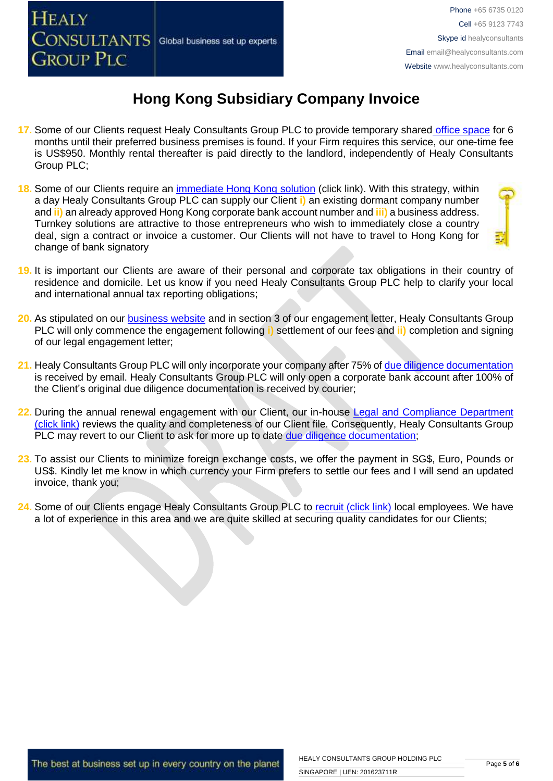

- **17.** Some of our Clients request Healy Consultants Group PLC to provide temporary shared [office space](http://www.healyconsultants.com/virtual-office/) for 6 months until their preferred business premises is found. If your Firm requires this service, our one-time fee is US\$950. Monthly rental thereafter is paid directly to the landlord, independently of Healy Consultants Group PLC;
- **18.** Some of our Clients require an [immediate Hong Kong solution](http://www.healyconsultants.com/hong-kong-company-registration/turnkey-solutions/) (click link). With this strategy, within a day Healy Consultants Group PLC can supply our Client **i)** an existing dormant company number and **ii)** an already approved Hong Kong corporate bank account number and **iii)** a business address. Turnkey solutions are attractive to those entrepreneurs who wish to immediately close a country deal, sign a contract or invoice a customer. Our Clients will not have to travel to Hong Kong for change of bank signatory
- **19.** It is important our Clients are aware of their personal and corporate tax obligations in their country of residence and domicile. Let us know if you need Healy Consultants Group PLC help to clarify your local and international annual tax reporting obligations;
- **20.** As stipulated on our **business website** and in section 3 of our engagement letter, Healy Consultants Group PLC will only commence the engagement following **i)** settlement of our fees and **ii)** completion and signing of our legal engagement letter;
- 21. Healy Consultants Group PLC will only incorporate your company after 75% of [due diligence documentation](http://www.healyconsultants.com/due-diligence/) is received by email. Healy Consultants Group PLC will only open a corporate bank account after 100% of the Client's original due diligence documentation is received by courier;
- 22. During the annual renewal engagement with our Client, our in-house Legal and Compliance Department [\(click link\)](http://www.healyconsultants.com/about-us/key-personnel/cai-xin-profile/) reviews the quality and completeness of our Client file. Consequently, Healy Consultants Group PLC may revert to our Client to ask for more up to date [due diligence documentation;](http://www.healyconsultants.com/due-diligence/)
- **23.** To assist our Clients to minimize foreign exchange costs, we offer the payment in SG\$, Euro, Pounds or US\$. Kindly let me know in which currency your Firm prefers to settle our fees and I will send an updated invoice, thank you;
- 24. Some of our Clients engage Healy Consultants Group PLC to [recruit \(click link\)](http://www.healyconsultants.com/corporate-outsourcing-services/how-we-help-our-clients-recruit-quality-employees/) local employees. We have a lot of experience in this area and we are quite skilled at securing quality candidates for our Clients;